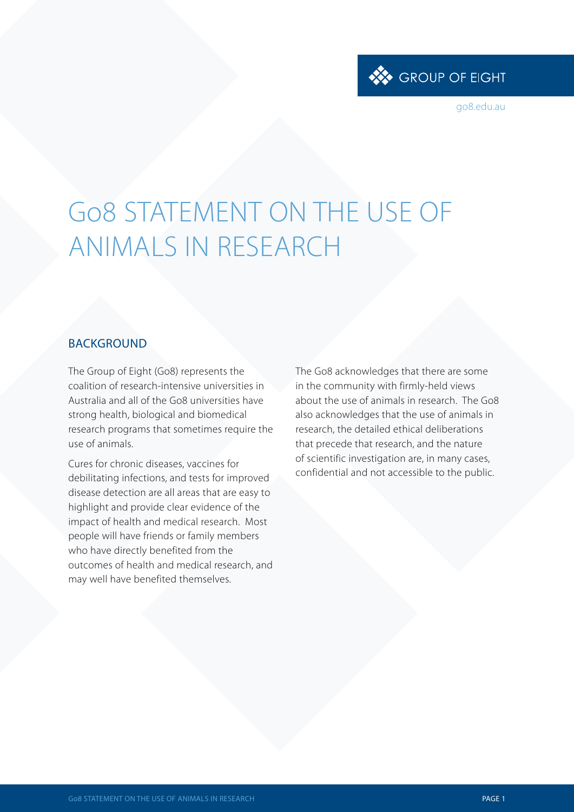

go8.edu.au

# Go8 STATEMENT ON THE USE OF ANIMALS IN RESEARCH

#### BACKGROUND

The Group of Eight (Go8) represents the coalition of research-intensive universities in Australia and all of the Go8 universities have strong health, biological and biomedical research programs that sometimes require the use of animals.

Cures for chronic diseases, vaccines for debilitating infections, and tests for improved disease detection are all areas that are easy to highlight and provide clear evidence of the impact of health and medical research. Most people will have friends or family members who have directly benefited from the outcomes of health and medical research, and may well have benefited themselves.

The Go8 acknowledges that there are some in the community with firmly-held views about the use of animals in research. The Go8 also acknowledges that the use of animals in research, the detailed ethical deliberations that precede that research, and the nature of scientific investigation are, in many cases, confidential and not accessible to the public.